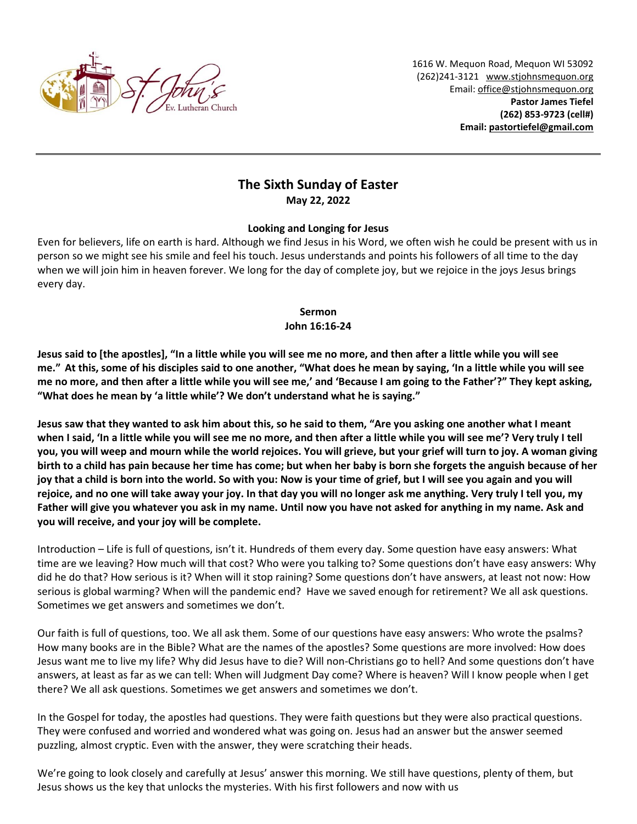

1616 W. Mequon Road, Mequon WI 53092 (262)241-3121 [www.stjohnsmequon.org](http://www.stjohnsmequon.org/) Email[: office@stjohnsmequon.org](mailto:office@stjohnsmequon.org) **Pastor James Tiefel (262) 853-9723 (cell#) Email: [pastortiefel@gmail.com](mailto:pastortiefel@gmail.com)**

# **The Sixth Sunday of Easter May 22, 2022**

## **Looking and Longing for Jesus**

Even for believers, life on earth is hard. Although we find Jesus in his Word, we often wish he could be present with us in person so we might see his smile and feel his touch. Jesus understands and points his followers of all time to the day when we will join him in heaven forever. We long for the day of complete joy, but we rejoice in the joys Jesus brings every day.

#### **Sermon John 16:16-24**

**Jesus said to [the apostles], "In a little while you will see me no more, and then after a little while you will see me." At this, some of his disciples said to one another, "What does he mean by saying, 'In a little while you will see me no more, and then after a little while you will see me,' and 'Because I am going to the Father'?" They kept asking, "What does he mean by 'a little while'? We don't understand what he is saying."** 

**Jesus saw that they wanted to ask him about this, so he said to them, "Are you asking one another what I meant when I said, 'In a little while you will see me no more, and then after a little while you will see me'? Very truly I tell you, you will weep and mourn while the world rejoices. You will grieve, but your grief will turn to joy. A woman giving birth to a child has pain because her time has come; but when her baby is born she forgets the anguish because of her joy that a child is born into the world. So with you: Now is your time of grief, but I will see you again and you will rejoice, and no one will take away your joy. In that day you will no longer ask me anything. Very truly I tell you, my Father will give you whatever you ask in my name. Until now you have not asked for anything in my name. Ask and you will receive, and your joy will be complete.**

Introduction – Life is full of questions, isn't it. Hundreds of them every day. Some question have easy answers: What time are we leaving? How much will that cost? Who were you talking to? Some questions don't have easy answers: Why did he do that? How serious is it? When will it stop raining? Some questions don't have answers, at least not now: How serious is global warming? When will the pandemic end? Have we saved enough for retirement? We all ask questions. Sometimes we get answers and sometimes we don't.

Our faith is full of questions, too. We all ask them. Some of our questions have easy answers: Who wrote the psalms? How many books are in the Bible? What are the names of the apostles? Some questions are more involved: How does Jesus want me to live my life? Why did Jesus have to die? Will non-Christians go to hell? And some questions don't have answers, at least as far as we can tell: When will Judgment Day come? Where is heaven? Will I know people when I get there? We all ask questions. Sometimes we get answers and sometimes we don't.

In the Gospel for today, the apostles had questions. They were faith questions but they were also practical questions. They were confused and worried and wondered what was going on. Jesus had an answer but the answer seemed puzzling, almost cryptic. Even with the answer, they were scratching their heads.

We're going to look closely and carefully at Jesus' answer this morning. We still have questions, plenty of them, but Jesus shows us the key that unlocks the mysteries. With his first followers and now with us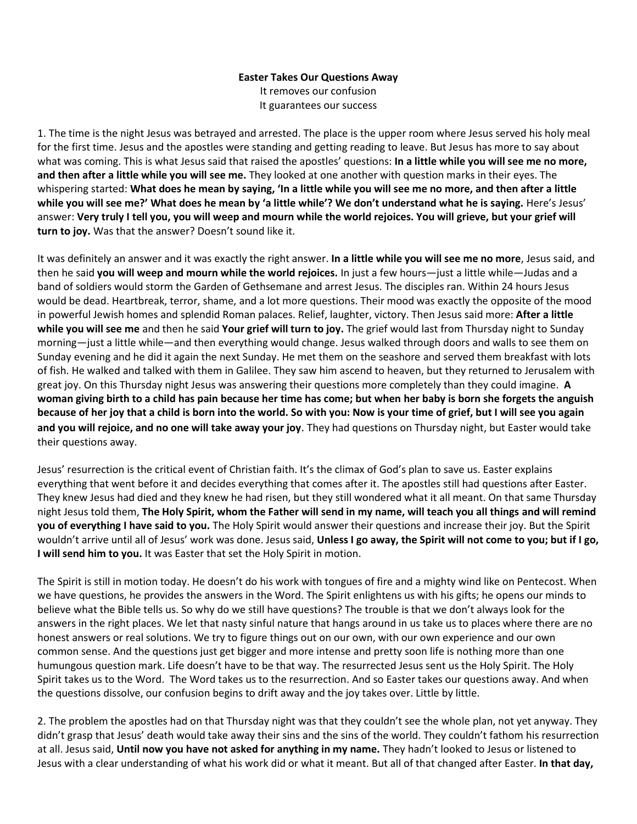## **Easter Takes Our Questions Away** It removes our confusion It guarantees our success

1. The time is the night Jesus was betrayed and arrested. The place is the upper room where Jesus served his holy meal for the first time. Jesus and the apostles were standing and getting reading to leave. But Jesus has more to say about what was coming. This is what Jesus said that raised the apostles' questions: **In a little while you will see me no more, and then after a little while you will see me.** They looked at one another with question marks in their eyes. The whispering started: **What does he mean by saying, 'In a little while you will see me no more, and then after a little while you will see me?' What does he mean by 'a little while'? We don't understand what he is saying.** Here's Jesus' answer: **Very truly I tell you, you will weep and mourn while the world rejoices. You will grieve, but your grief will turn to joy.** Was that the answer? Doesn't sound like it.

It was definitely an answer and it was exactly the right answer. **In a little while you will see me no more**, Jesus said, and then he said **you will weep and mourn while the world rejoices.** In just a few hours—just a little while—Judas and a band of soldiers would storm the Garden of Gethsemane and arrest Jesus. The disciples ran. Within 24 hours Jesus would be dead. Heartbreak, terror, shame, and a lot more questions. Their mood was exactly the opposite of the mood in powerful Jewish homes and splendid Roman palaces. Relief, laughter, victory. Then Jesus said more: **After a little while you will see me** and then he said **Your grief will turn to joy.** The grief would last from Thursday night to Sunday morning—just a little while—and then everything would change. Jesus walked through doors and walls to see them on Sunday evening and he did it again the next Sunday. He met them on the seashore and served them breakfast with lots of fish. He walked and talked with them in Galilee. They saw him ascend to heaven, but they returned to Jerusalem with great joy. On this Thursday night Jesus was answering their questions more completely than they could imagine. **A woman giving birth to a child has pain because her time has come; but when her baby is born she forgets the anguish because of her joy that a child is born into the world. So with you: Now is your time of grief, but I will see you again and you will rejoice, and no one will take away your joy**. They had questions on Thursday night, but Easter would take their questions away.

Jesus' resurrection is the critical event of Christian faith. It's the climax of God's plan to save us. Easter explains everything that went before it and decides everything that comes after it. The apostles still had questions after Easter. They knew Jesus had died and they knew he had risen, but they still wondered what it all meant. On that same Thursday night Jesus told them, **The Holy Spirit, whom the Father will send in my name, will teach you all things and will remind you of everything I have said to you.** The Holy Spirit would answer their questions and increase their joy. But the Spirit wouldn't arrive until all of Jesus' work was done. Jesus said, **Unless I go away, the Spirit will not come to you; but if I go, I will send him to you.** It was Easter that set the Holy Spirit in motion.

The Spirit is still in motion today. He doesn't do his work with tongues of fire and a mighty wind like on Pentecost. When we have questions, he provides the answers in the Word. The Spirit enlightens us with his gifts; he opens our minds to believe what the Bible tells us. So why do we still have questions? The trouble is that we don't always look for the answers in the right places. We let that nasty sinful nature that hangs around in us take us to places where there are no honest answers or real solutions. We try to figure things out on our own, with our own experience and our own common sense. And the questions just get bigger and more intense and pretty soon life is nothing more than one humungous question mark. Life doesn't have to be that way. The resurrected Jesus sent us the Holy Spirit. The Holy Spirit takes us to the Word. The Word takes us to the resurrection. And so Easter takes our questions away. And when the questions dissolve, our confusion begins to drift away and the joy takes over. Little by little.

2. The problem the apostles had on that Thursday night was that they couldn't see the whole plan, not yet anyway. They didn't grasp that Jesus' death would take away their sins and the sins of the world. They couldn't fathom his resurrection at all. Jesus said, **Until now you have not asked for anything in my name.** They hadn't looked to Jesus or listened to Jesus with a clear understanding of what his work did or what it meant. But all of that changed after Easter. **In that day,**